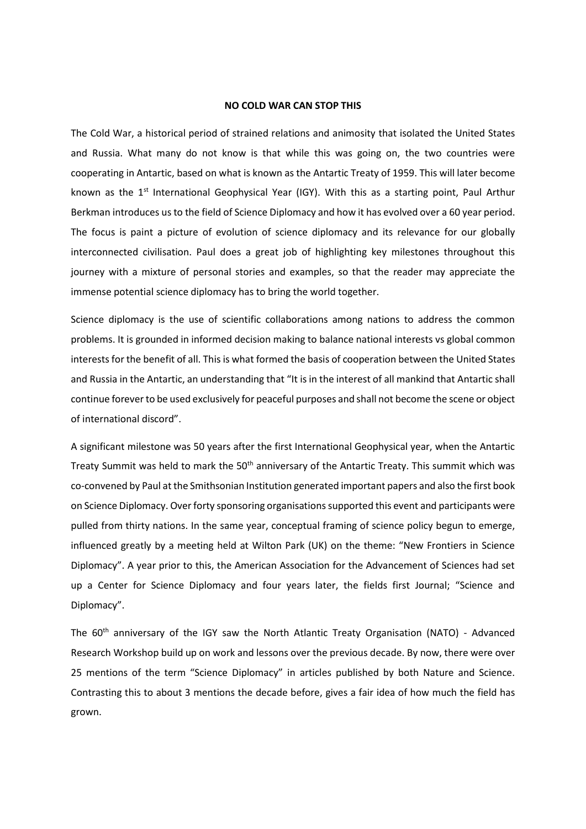## **NO COLD WAR CAN STOP THIS**

The Cold War, a historical period of strained relations and animosity that isolated the United States and Russia. What many do not know is that while this was going on, the two countries were cooperating in Antartic, based on what is known as the Antartic Treaty of 1959. This will later become known as the 1<sup>st</sup> International Geophysical Year (IGY). With this as a starting point, Paul Arthur Berkman introduces us to the field of Science Diplomacy and how it has evolved over a 60 year period. The focus is paint a picture of evolution of science diplomacy and its relevance for our globally interconnected civilisation. Paul does a great job of highlighting key milestones throughout this journey with a mixture of personal stories and examples, so that the reader may appreciate the immense potential science diplomacy has to bring the world together.

Science diplomacy is the use of scientific collaborations among nations to address the common problems. It is grounded in informed decision making to balance national interests vs global common interests for the benefit of all. This is what formed the basis of cooperation between the United States and Russia in the Antartic, an understanding that "It is in the interest of all mankind that Antartic shall continue forever to be used exclusively for peaceful purposes and shall not become the scene or object of international discord".

A significant milestone was 50 years after the first International Geophysical year, when the Antartic Treaty Summit was held to mark the 50<sup>th</sup> anniversary of the Antartic Treaty. This summit which was co-convened by Paul at the Smithsonian Institution generated important papers and also the first book on Science Diplomacy. Over forty sponsoring organisations supported this event and participants were pulled from thirty nations. In the same year, conceptual framing of science policy begun to emerge, influenced greatly by a meeting held at Wilton Park (UK) on the theme: "New Frontiers in Science Diplomacy". A year prior to this, the American Association for the Advancement of Sciences had set up a Center for Science Diplomacy and four years later, the fields first Journal; "Science and Diplomacy".

The 60th anniversary of the IGY saw the North Atlantic Treaty Organisation (NATO) - Advanced Research Workshop build up on work and lessons over the previous decade. By now, there were over 25 mentions of the term "Science Diplomacy" in articles published by both Nature and Science. Contrasting this to about 3 mentions the decade before, gives a fair idea of how much the field has grown.